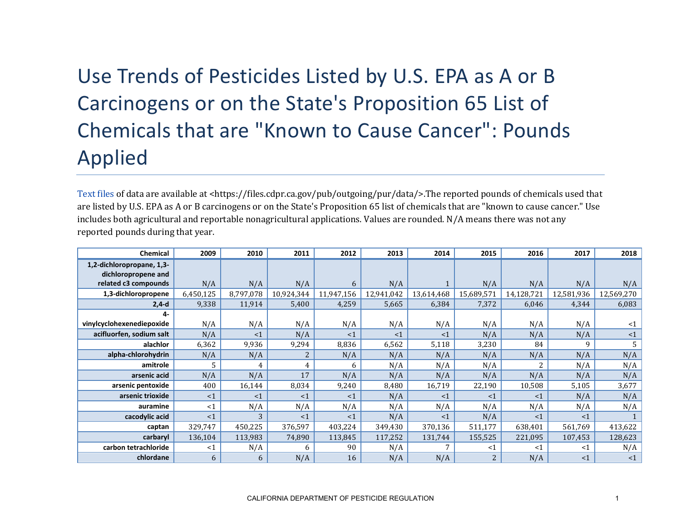## Use Trends of Pesticides Listed by U.S. EPA as A or B Carcinogens or on the State's Proposition 65 List of Chemicals that are "Known to Cause Cancer": Pounds Applied

[Text files](https://files.cdpr.ca.gov/pub/outgoing/pur/data/) of data are available at <https://files.cdpr.ca.gov/pub/outgoing/pur/data/>.The reported pounds of chemicals used that are listed by U.S. EPA as A or B carcinogens or on the State's Proposition 65 list of chemicals that are "known to cause cancer." Use includes both agricultural and reportable nonagricultural applications. Values are rounded. N/A means there was not any reported pounds during that year.

| <b>Chemical</b>           | 2009      | 2010      | 2011           | 2012       | 2013       | 2014       | 2015       | 2016       | 2017       | 2018       |
|---------------------------|-----------|-----------|----------------|------------|------------|------------|------------|------------|------------|------------|
| 1,2-dichloropropane, 1,3- |           |           |                |            |            |            |            |            |            |            |
| dichloropropene and       |           |           |                |            |            |            |            |            |            |            |
| related c3 compounds      | N/A       | N/A       | N/A            | 6          | N/A        |            | N/A        | N/A        | N/A        | N/A        |
| 1,3-dichloropropene       | 6,450,125 | 8,797,078 | 10,924,344     | 11,947,156 | 12,941,042 | 13,614,468 | 15,689,571 | 14,128,721 | 12,581,936 | 12,569,270 |
| $2,4-d$                   | 9,338     | 11,914    | 5,400          | 4,259      | 5,665      | 6,384      | 7,372      | 6,046      | 4,344      | 6,083      |
| 4-                        |           |           |                |            |            |            |            |            |            |            |
| vinylcyclohexenediepoxide | N/A       | N/A       | N/A            | N/A        | N/A        | N/A        | N/A        | N/A        | N/A        | $\leq 1$   |
| acifluorfen, sodium salt  | N/A       | <1        | N/A            | <1         | <1         | $\leq$ 1   | N/A        | N/A        | N/A        | $\leq 1$   |
| alachlor                  | 6,362     | 9,936     | 9,294          | 8,836      | 6,562      | 5,118      | 3,230      | 84         | 9          | 5          |
| alpha-chlorohydrin        | N/A       | N/A       | $\overline{2}$ | N/A        | N/A        | N/A        | N/A        | N/A        | N/A        | N/A        |
| amitrole                  | 5         | 4         | 4              | 6          | N/A        | N/A        | N/A        |            | N/A        | N/A        |
| arsenic acid              | N/A       | N/A       | 17             | N/A        | N/A        | N/A        | N/A        | N/A        | N/A        | N/A        |
| arsenic pentoxide         | 400       | 16,144    | 8,034          | 9,240      | 8,480      | 16,719     | 22,190     | 10,508     | 5,105      | 3,677      |
| arsenic trioxide          | <1        | <1        | <1             | <1         | N/A        | $\leq$ 1   | $\leq$ 1   | <1         | N/A        | N/A        |
| auramine                  | $<$ 1     | N/A       | N/A            | N/A        | N/A        | N/A        | N/A        | N/A        | N/A        | N/A        |
| cacodylic acid            | <1        | 3         | <1             | <1         | N/A        | $\leq$ 1   | N/A        | <1         | <1         |            |
| captan                    | 329,747   | 450,225   | 376,597        | 403,224    | 349,430    | 370,136    | 511,177    | 638,401    | 561,769    | 413,622    |
| carbaryl                  | 136,104   | 113,983   | 74,890         | 113,845    | 117,252    | 131,744    | 155,525    | 221,095    | 107,453    | 128,623    |
| carbon tetrachloride      | $<$ 1     | N/A       | 6              | 90         | N/A        |            | $\leq 1$   | $<$ 1      | <1         | N/A        |
| chlordane                 | 6         | 6         | N/A            | 16         | N/A        | N/A        |            | N/A        | <1         | $\leq 1$   |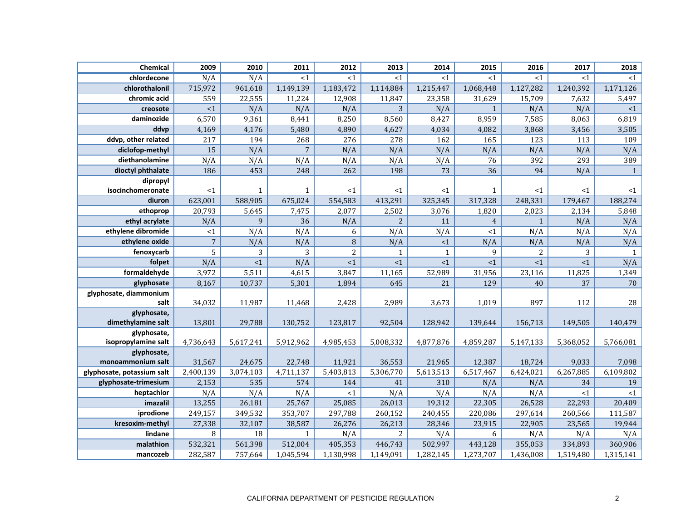| Chemical                   | 2009           | 2010         | 2011           | 2012      | 2013           | 2014         | 2015           | 2016           | 2017      | 2018           |
|----------------------------|----------------|--------------|----------------|-----------|----------------|--------------|----------------|----------------|-----------|----------------|
| chlordecone                | N/A            | N/A          | <1             | $<$ 1     | <1             | <1           | <1             | <1             | <1        | <1             |
| chlorothalonil             | 715,972        | 961,618      | 1,149,139      | 1,183,472 | 1,114,884      | 1,215,447    | 1,068,448      | 1,127,282      | 1,240,392 | 1,171,126      |
| chromic acid               | 559            | 22,555       | 11,224         | 12,908    | 11,847         | 23,358       | 31,629         | 15,709         | 7,632     | 5,497          |
| creosote                   | ${<}1$         | N/A          | N/A            | N/A       | 3              | N/A          | $\mathbf{1}$   | N/A            | N/A       | ${<}1$         |
| daminozide                 | 6,570          | 9,361        | 8,441          | 8,250     | 8,560          | 8,427        | 8,959          | 7,585          | 8,063     | 6,819          |
| ddvp                       | 4,169          | 4,176        | 5,480          | 4,890     | 4,627          | 4,034        | 4,082          | 3,868          | 3,456     | 3,505          |
| ddvp, other related        | 217            | 194          | 268            | 276       | 278            | 162          | 165            | 123            | 113       | 109            |
| diclofop-methyl            | 15             | N/A          | $\overline{7}$ | N/A       | N/A            | N/A          | N/A            | N/A            | N/A       | N/A            |
| diethanolamine             | N/A            | N/A          | N/A            | N/A       | N/A            | N/A          | 76             | 392            | 293       | 389            |
| dioctyl phthalate          | 186            | 453          | 248            | 262       | 198            | 73           | 36             | 94             | N/A       | $\overline{1}$ |
| dipropyl                   |                |              |                |           |                |              |                |                |           |                |
| isocinchomeronate          | <1             | $\mathbf{1}$ | $\mathbf{1}$   | <1        | <1             | $<$ 1        | $\mathbf{1}$   | $<$ 1          | <1        | <1             |
| diuron                     | 623,001        | 588,905      | 675,024        | 554,583   | 413,291        | 325,345      | 317,328        | 248,331        | 179,467   | 188,274        |
| ethoprop                   | 20,793         | 5,645        | 7,475          | 2,077     | 2,502          | 3,076        | 1,820          | 2,023          | 2,134     | 5,848          |
| ethyl acrylate             | N/A            | 9            | 36             | N/A       | $\overline{2}$ | 11           | $\overline{4}$ | $\mathbf{1}$   | N/A       | N/A            |
| ethylene dibromide         | <1             | N/A          | N/A            | 6         | N/A            | N/A          | <1             | N/A            | N/A       | N/A            |
| ethylene oxide             | $\overline{7}$ | N/A          | N/A            | 8         | N/A            | $\leq 1$     | N/A            | N/A            | N/A       | N/A            |
| fenoxycarb                 | 5              | 3            | 3              | 2         | $\mathbf{1}$   | $\mathbf{1}$ | 9              | $\overline{2}$ | 3         | $\mathbf{1}$   |
| folpet                     | N/A            | $\leq 1$     | N/A            | <1        | <1             | <1           | <1             | <1             | <1        | N/A            |
| formaldehyde               | 3,972          | 5,511        | 4,615          | 3,847     | 11,165         | 52,989       | 31,956         | 23,116         | 11,825    | 1,349          |
| glyphosate                 | 8,167          | 10,737       | 5,301          | 1,894     | 645            | 21           | 129            | 40             | 37        | 70             |
| glyphosate, diammonium     |                |              |                |           |                |              |                |                |           |                |
| salt                       | 34,032         | 11,987       | 11,468         | 2,428     | 2,989          | 3,673        | 1,019          | 897            | 112       | 28             |
| glyphosate,                |                |              |                |           |                |              |                |                |           |                |
| dimethylamine salt         | 13,801         | 29,788       | 130,752        | 123,817   | 92,504         | 128,942      | 139,644        | 156,713        | 149,505   | 140,479        |
| glyphosate,                |                |              |                |           |                |              |                |                |           |                |
| isopropylamine salt        | 4,736,643      | 5,617,241    | 5,912,962      | 4,985,453 | 5,008,332      | 4,877,876    | 4,859,287      | 5,147,133      | 5,368,052 | 5,766,081      |
| glyphosate,                |                |              |                |           |                |              |                |                |           |                |
| monoammonium salt          | 31,567         | 24,675       | 22,748         | 11,921    | 36,553         | 21,965       | 12,387         | 18,724         | 9,033     | 7,098          |
| glyphosate, potassium salt | 2,400,139      | 3,074,103    | 4,711,137      | 5,403,813 | 5,306,770      | 5,613,513    | 6,517,467      | 6,424,021      | 6,267,885 | 6,109,802      |
| glyphosate-trimesium       | 2,153          | 535          | 574            | 144       | 41             | 310          | N/A            | N/A            | 34        | 19             |
| heptachlor                 | N/A            | N/A          | N/A            | $<$ 1     | N/A            | N/A          | N/A            | N/A            | <1        | $<\!1$         |
| imazalil                   | 13,255         | 26,181       | 25,767         | 25,085    | 26,013         | 19,312       | 22,305         | 26,528         | 22,293    | 20,409         |
| iprodione                  | 249,157        | 349,532      | 353,707        | 297,788   | 260,152        | 240,455      | 220,086        | 297,614        | 260,566   | 111,587        |
| kresoxim-methyl            | 27,338         | 32,107       | 38,587         | 26,276    | 26,213         | 28,346       | 23,915         | 22,905         | 23,565    | 19,944         |
| lindane                    | 8              | 18           | $\mathbf{1}$   | N/A       | $\overline{2}$ | N/A          | 6              | N/A            | N/A       | N/A            |
| malathion                  | 532,321        | 561,398      | 512,004        | 405,353   | 446,743        | 502,997      | 443,128        | 355,053        | 334,893   | 360,906        |
| mancozeb                   | 282,587        | 757,664      | 1,045,594      | 1,130,998 | 1,149,091      | 1,282,145    | 1,273,707      | 1,436,008      | 1,519,480 | 1,315,141      |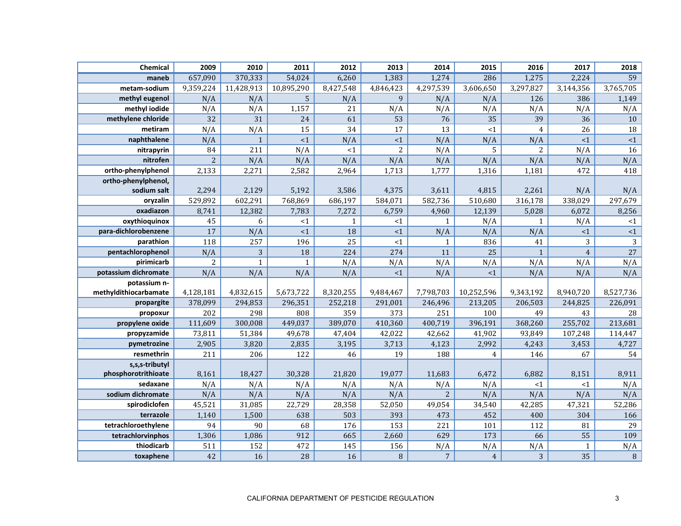| Chemical              | 2009           | 2010         | 2011         | 2012         | 2013           | 2014           | 2015           | 2016           | 2017           | 2018            |
|-----------------------|----------------|--------------|--------------|--------------|----------------|----------------|----------------|----------------|----------------|-----------------|
| maneb                 | 657,090        | 370,333      | 54,024       | 6,260        | 1,383          | 1,274          | 286            | 1,275          | 2,224          | 59              |
| metam-sodium          | 9,359,224      | 11,428,913   | 10,895,290   | 8,427,548    | 4,846,423      | 4,297,539      | 3,606,650      | 3,297,827      | 3,144,356      | 3,765,705       |
| methyl eugenol        | N/A            | N/A          | 5            | N/A          | 9              | N/A            | N/A            | 126            | 386            | 1,149           |
| methyl iodide         | N/A            | N/A          | 1,157        | 21           | N/A            | N/A            | N/A            | N/A            | N/A            | N/A             |
| methylene chloride    | 32             | 31           | 24           | 61           | 53             | 76             | 35             | 39             | 36             | 10              |
| metiram               | N/A            | N/A          | 15           | 34           | 17             | 13             | <1             | $\overline{4}$ | 26             | 18              |
| naphthalene           | N/A            | $\mathbf{1}$ | <1           | N/A          | ${<}1$         | N/A            | N/A            | N/A            | <1             | <1              |
| nitrapyrin            | 84             | 211          | N/A          | <1           | $\overline{2}$ | N/A            | 5              | $\overline{2}$ | N/A            | 16              |
| nitrofen              | $\overline{2}$ | N/A          | N/A          | N/A          | N/A            | N/A            | N/A            | N/A            | N/A            | N/A             |
| ortho-phenylphenol    | 2,133          | 2,271        | 2,582        | 2,964        | 1,713          | 1,777          | 1,316          | 1,181          | 472            | 418             |
| ortho-phenylphenol,   |                |              |              |              |                |                |                |                |                |                 |
| sodium salt           | 2,294          | 2,129        | 5,192        | 3,586        | 4,375          | 3,611          | 4,815          | 2,261          | N/A            | N/A             |
| oryzalin              | 529,892        | 602,291      | 768,869      | 686,197      | 584,071        | 582,736        | 510,680        | 316,178        | 338,029        | 297,679         |
| oxadiazon             | 8,741          | 12,382       | 7,783        | 7,272        | 6,759          | 4,960          | 12,139         | 5,028          | 6,072          | 8,256           |
| oxythioquinox         | 45             | 6            | $<$ 1        | $\mathbf{1}$ | ${<}1$         | $\mathbf{1}$   | N/A            | $\mathbf{1}$   | N/A            | ${<}1$          |
| para-dichlorobenzene  | 17             | N/A          | <1           | 18           | <1             | N/A            | N/A            | N/A            | <1             | ${<}1$          |
| parathion             | 118            | 257          | 196          | 25           | <1             | $\mathbf{1}$   | 836            | 41             | 3              | $\mathbf{3}$    |
| pentachlorophenol     | N/A            | 3            | 18           | 224          | 274            | 11             | 25             | $\mathbf{1}$   | $\overline{4}$ | $\overline{27}$ |
| pirimicarb            | $\overline{2}$ | $\mathbf{1}$ | $\mathbf{1}$ | N/A          | N/A            | N/A            | N/A            | N/A            | N/A            | N/A             |
| potassium dichromate  | N/A            | N/A          | N/A          | N/A          | <1             | N/A            | $\leq 1$       | N/A            | N/A            | N/A             |
| potassium n-          |                |              |              |              |                |                |                |                |                |                 |
| methyldithiocarbamate | 4,128,181      | 4,832,615    | 5,673,722    | 8,320,255    | 9,484,467      | 7,798,703      | 10,252,596     | 9,343,192      | 8,940,720      | 8,527,736       |
| propargite            | 378,099        | 294,853      | 296,351      | 252,218      | 291,001        | 246,496        | 213,205        | 206,503        | 244,825        | 226,091         |
| propoxur              | 202            | 298          | 808          | 359          | 373            | 251            | 100            | 49             | 43             | 28              |
| propylene oxide       | 111,609        | 300,008      | 449,037      | 389,070      | 410,360        | 400,719        | 396,191        | 368,260        | 255,702        | 213,681         |
| propyzamide           | 73,811         | 51,384       | 49,678       | 47,404       | 42,022         | 42,662         | 41,902         | 93,849         | 107,248        | 114,447         |
| pymetrozine           | 2,905          | 3,820        | 2,835        | 3,195        | 3,713          | 4,123          | 2,992          | 4,243          | 3,453          | 4,727           |
| resmethrin            | 211            | 206          | 122          | 46           | 19             | 188            | 4              | 146            | 67             | 54              |
| s,s,s-tributyl        |                |              |              |              |                |                |                |                |                |                 |
| phosphorotrithioate   | 8,161          | 18,427       | 30,328       | 21,820       | 19,077         | 11,683         | 6,472          | 6,882          | 8,151          | 8,911           |
| sedaxane              | N/A            | N/A          | N/A          | N/A          | N/A            | N/A            | N/A            | <1             | <1             | N/A             |
| sodium dichromate     | N/A            | N/A          | N/A          | N/A          | N/A            | $\overline{c}$ | N/A            | N/A            | N/A            | N/A             |
| spirodiclofen         | 45,521         | 31,085       | 22,729       | 28,358       | 52,050         | 49,054         | 34,540         | 42,285         | 47,321         | 52,286          |
| terrazole             | 1,140          | 1,500        | 638          | 503          | 393            | 473            | 452            | 400            | 304            | 166             |
| tetrachloroethylene   | 94             | 90           | 68           | 176          | 153            | 221            | 101            | 112            | 81             | 29              |
| tetrachlorvinphos     | 1,306          | 1,086        | 912          | 665          | 2,660          | 629            | 173            | 66             | 55             | 109             |
| thiodicarb            | 511            | 152          | 472          | 145          | 156            | N/A            | N/A            | N/A            | $\mathbf 1$    | N/A             |
| toxaphene             | 42             | 16           | 28           | 16           | $\, 8$         | $\sqrt{7}$     | $\overline{4}$ | 3              | 35             | $\, 8$          |